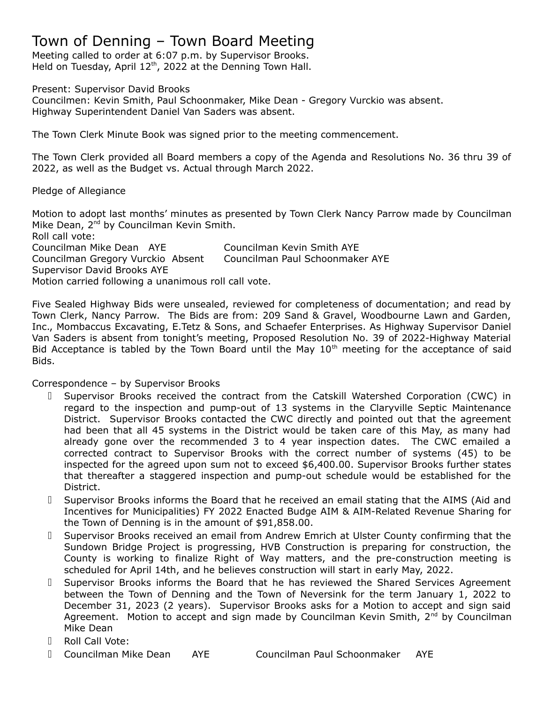# Town of Denning – Town Board Meeting

Meeting called to order at 6:07 p.m. by Supervisor Brooks. Held on Tuesday, April  $12<sup>th</sup>$ , 2022 at the Denning Town Hall.

Present: Supervisor David Brooks

Councilmen: Kevin Smith, Paul Schoonmaker, Mike Dean - Gregory Vurckio was absent. Highway Superintendent Daniel Van Saders was absent.

The Town Clerk Minute Book was signed prior to the meeting commencement.

The Town Clerk provided all Board members a copy of the Agenda and Resolutions No. 36 thru 39 of 2022, as well as the Budget vs. Actual through March 2022.

### Pledge of Allegiance

Motion to adopt last months' minutes as presented by Town Clerk Nancy Parrow made by Councilman Mike Dean, 2<sup>nd</sup> by Councilman Kevin Smith. Roll call vote: Councilman Mike Dean AYE Councilman Kevin Smith AYE Councilman Gregory Vurckio Absent Councilman Paul Schoonmaker AYE Supervisor David Brooks AYE Motion carried following a unanimous roll call vote.

Five Sealed Highway Bids were unsealed, reviewed for completeness of documentation; and read by Town Clerk, Nancy Parrow. The Bids are from: 209 Sand & Gravel, Woodbourne Lawn and Garden, Inc., Mombaccus Excavating, E.Tetz & Sons, and Schaefer Enterprises. As Highway Supervisor Daniel Van Saders is absent from tonight's meeting, Proposed Resolution No. 39 of 2022-Highway Material Bid Acceptance is tabled by the Town Board until the May  $10<sup>th</sup>$  meeting for the acceptance of said Bids.

### Correspondence – by Supervisor Brooks

- ⮚ Supervisor Brooks received the contract from the Catskill Watershed Corporation (CWC) in regard to the inspection and pump-out of 13 systems in the Claryville Septic Maintenance District. Supervisor Brooks contacted the CWC directly and pointed out that the agreement had been that all 45 systems in the District would be taken care of this May, as many had already gone over the recommended 3 to 4 year inspection dates. The CWC emailed a corrected contract to Supervisor Brooks with the correct number of systems (45) to be inspected for the agreed upon sum not to exceed \$6,400.00. Supervisor Brooks further states that thereafter a staggered inspection and pump-out schedule would be established for the District.
- ⮚ Supervisor Brooks informs the Board that he received an email stating that the AIMS (Aid and Incentives for Municipalities) FY 2022 Enacted Budge AIM & AIM-Related Revenue Sharing for the Town of Denning is in the amount of \$91,858.00.
- ⮚ Supervisor Brooks received an email from Andrew Emrich at Ulster County confirming that the Sundown Bridge Project is progressing, HVB Construction is preparing for construction, the County is working to finalize Right of Way matters, and the pre-construction meeting is scheduled for April 14th, and he believes construction will start in early May, 2022.
- ⮚ Supervisor Brooks informs the Board that he has reviewed the Shared Services Agreement between the Town of Denning and the Town of Neversink for the term January 1, 2022 to December 31, 2023 (2 years). Supervisor Brooks asks for a Motion to accept and sign said Agreement. Motion to accept and sign made by Councilman Kevin Smith,  $2<sup>nd</sup>$  by Councilman Mike Dean
- ⮚ Roll Call Vote:
- ⮚ Councilman Mike Dean AYE Councilman Paul Schoonmaker AYE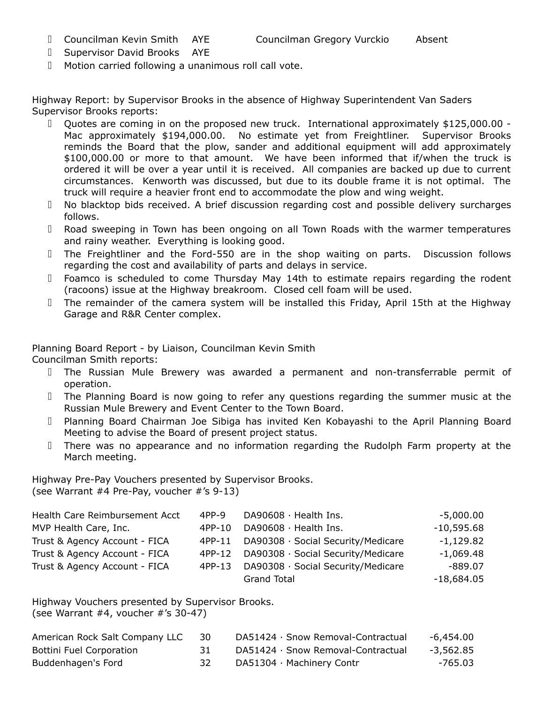- ⮚ Supervisor David Brooks AYE
- ⮚ Motion carried following a unanimous roll call vote.

Highway Report: by Supervisor Brooks in the absence of Highway Superintendent Van Saders Supervisor Brooks reports:

- ⮚ Quotes are coming in on the proposed new truck. International approximately \$125,000.00 Mac approximately \$194,000.00. No estimate yet from Freightliner. Supervisor Brooks reminds the Board that the plow, sander and additional equipment will add approximately \$100,000.00 or more to that amount. We have been informed that if/when the truck is ordered it will be over a year until it is received. All companies are backed up due to current circumstances. Kenworth was discussed, but due to its double frame it is not optimal. The truck will require a heavier front end to accommodate the plow and wing weight.
- ⮚ No blacktop bids received. A brief discussion regarding cost and possible delivery surcharges follows.
- ⮚ Road sweeping in Town has been ongoing on all Town Roads with the warmer temperatures and rainy weather. Everything is looking good.
- ⮚ The Freightliner and the Ford-550 are in the shop waiting on parts. Discussion follows regarding the cost and availability of parts and delays in service.
- ⮚ Foamco is scheduled to come Thursday May 14th to estimate repairs regarding the rodent (racoons) issue at the Highway breakroom. Closed cell foam will be used.
- ⮚ The remainder of the camera system will be installed this Friday, April 15th at the Highway Garage and R&R Center complex.

Planning Board Report - by Liaison, Councilman Kevin Smith

Councilman Smith reports:

- ⮚ The Russian Mule Brewery was awarded a permanent and non-transferrable permit of operation.
- ⮚ The Planning Board is now going to refer any questions regarding the summer music at the Russian Mule Brewery and Event Center to the Town Board.
- ⮚ Planning Board Chairman Joe Sibiga has invited Ken Kobayashi to the April Planning Board Meeting to advise the Board of present project status.
- ⮚ There was no appearance and no information regarding the Rudolph Farm property at the March meeting.

Highway Pre-Pay Vouchers presented by Supervisor Brooks. (see Warrant #4 Pre-Pay, voucher #'s 9-13)

| Health Care Reimbursement Acct | $4PP-9$ | $D$ A90608 $\cdot$ Health Ins.     | $-5,000.00$  |
|--------------------------------|---------|------------------------------------|--------------|
| MVP Health Care, Inc.          | 4PP-10  | DA90608 · Health Ins.              | $-10,595.68$ |
| Trust & Agency Account - FICA  | 4PP-11  | DA90308 · Social Security/Medicare | $-1,129.82$  |
| Trust & Agency Account - FICA  | 4PP-12  | DA90308 · Social Security/Medicare | $-1,069.48$  |
| Trust & Agency Account - FICA  | 4PP-13  | DA90308 · Social Security/Medicare | $-889.07$    |
|                                |         | <b>Grand Total</b>                 | $-18,684.05$ |

Highway Vouchers presented by Supervisor Brooks. (see Warrant  $#4$ , voucher  $#^{\prime}$ s 30-47)

| American Rock Salt Company LLC | -30  | DA51424 · Snow Removal-Contractual | -6,454.00 |
|--------------------------------|------|------------------------------------|-----------|
| Bottini Fuel Corporation       | -31- | DA51424 · Snow Removal-Contractual | -3,562.85 |
| Buddenhagen's Ford             |      | DA51304 · Machinery Contr          | -765.03   |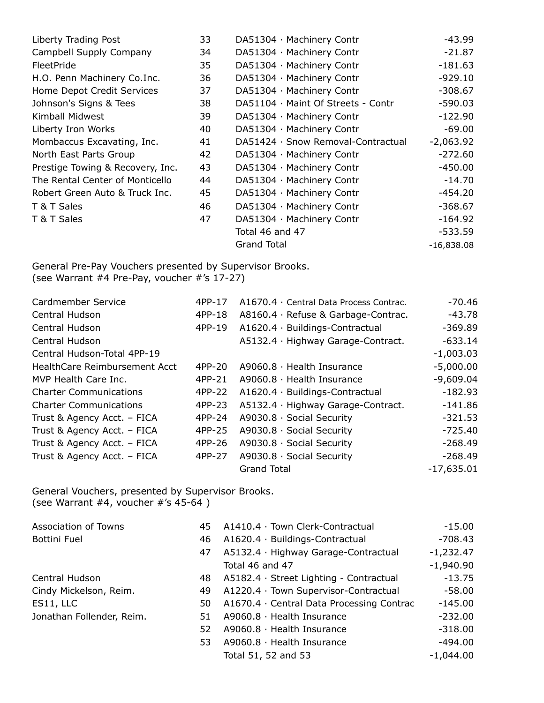| Liberty Trading Post             | 33 | DA51304 · Machinery Contr          | $-43.99$     |
|----------------------------------|----|------------------------------------|--------------|
| Campbell Supply Company          | 34 | DA51304 · Machinery Contr          | $-21.87$     |
| FleetPride                       | 35 | DA51304 · Machinery Contr          | $-181.63$    |
| H.O. Penn Machinery Co.Inc.      | 36 | DA51304 · Machinery Contr          | $-929.10$    |
| Home Depot Credit Services       | 37 | DA51304 · Machinery Contr          | $-308.67$    |
| Johnson's Signs & Tees           | 38 | DA51104 · Maint Of Streets - Contr | $-590.03$    |
| Kimball Midwest                  | 39 | DA51304 · Machinery Contr          | $-122.90$    |
| Liberty Iron Works               | 40 | DA51304 · Machinery Contr          | $-69.00$     |
| Mombaccus Excavating, Inc.       | 41 | DA51424 · Snow Removal-Contractual | $-2,063.92$  |
| North East Parts Group           | 42 | DA51304 · Machinery Contr          | $-272.60$    |
| Prestige Towing & Recovery, Inc. | 43 | DA51304 · Machinery Contr          | $-450.00$    |
| The Rental Center of Monticello  | 44 | DA51304 · Machinery Contr          | $-14.70$     |
| Robert Green Auto & Truck Inc.   | 45 | DA51304 · Machinery Contr          | -454.20      |
| T & T Sales                      | 46 | DA51304 · Machinery Contr          | $-368.67$    |
| T & T Sales                      | 47 | DA51304 · Machinery Contr          | $-164.92$    |
|                                  |    | Total 46 and 47                    | $-533.59$    |
|                                  |    | <b>Grand Total</b>                 | $-16,838.08$ |

General Pre-Pay Vouchers presented by Supervisor Brooks. (see Warrant #4 Pre-Pay, voucher #'s 17-27)

| Cardmember Service            | 4PP-17 | A1670.4 · Central Data Process Contrac. | $-70.46$     |
|-------------------------------|--------|-----------------------------------------|--------------|
| Central Hudson                | 4PP-18 | A8160.4 · Refuse & Garbage-Contrac.     | $-43.78$     |
| Central Hudson                | 4PP-19 | A1620.4 · Buildings-Contractual         | $-369.89$    |
| Central Hudson                |        | A5132.4 · Highway Garage-Contract.      | $-633.14$    |
| Central Hudson-Total 4PP-19   |        |                                         | $-1,003.03$  |
| HealthCare Reimbursement Acct | 4PP-20 | A9060.8 · Health Insurance              | $-5,000.00$  |
| MVP Health Care Inc.          | 4PP-21 | $A9060.8 \cdot$ Health Insurance        | $-9,609.04$  |
| <b>Charter Communications</b> | 4PP-22 | A1620.4 · Buildings-Contractual         | $-182.93$    |
| <b>Charter Communications</b> | 4PP-23 | A5132.4 · Highway Garage-Contract.      | $-141.86$    |
| Trust & Agency Acct. - FICA   | 4PP-24 | A9030.8 · Social Security               | $-321.53$    |
| Trust & Agency Acct. - FICA   | 4PP-25 | A9030.8 · Social Security               | $-725.40$    |
| Trust & Agency Acct. - FICA   | 4PP-26 | $A9030.8 \cdot$ Social Security         | $-268.49$    |
| Trust & Agency Acct. - FICA   | 4PP-27 | $A9030.8 \cdot$ Social Security         | $-268.49$    |
|                               |        | <b>Grand Total</b>                      | $-17,635.01$ |

General Vouchers, presented by Supervisor Brooks. (see Warrant #4, voucher #'s 45-64 )

| Association of Towns      | 45  | A1410.4 · Town Clerk-Contractual          | $-15.00$    |
|---------------------------|-----|-------------------------------------------|-------------|
| Bottini Fuel              | 46  | A1620.4 · Buildings-Contractual           | $-708.43$   |
|                           | 47  | A5132.4 · Highway Garage-Contractual      | $-1,232.47$ |
|                           |     | Total 46 and 47                           | $-1,940.90$ |
| Central Hudson            | 48. | A5182.4 · Street Lighting - Contractual   | $-13.75$    |
| Cindy Mickelson, Reim.    | 49  | A1220.4 · Town Supervisor-Contractual     | $-58.00$    |
| ES11, LLC                 | 50  | A1670.4 · Central Data Processing Contrac | $-145.00$   |
| Jonathan Follender, Reim. | 51  | A9060.8 · Health Insurance                | $-232.00$   |
|                           | 52  | $A9060.8 \cdot$ Health Insurance          | $-318.00$   |
|                           | 53  | A9060.8 · Health Insurance                | $-494.00$   |
|                           |     | Total 51, 52 and 53                       | $-1,044.00$ |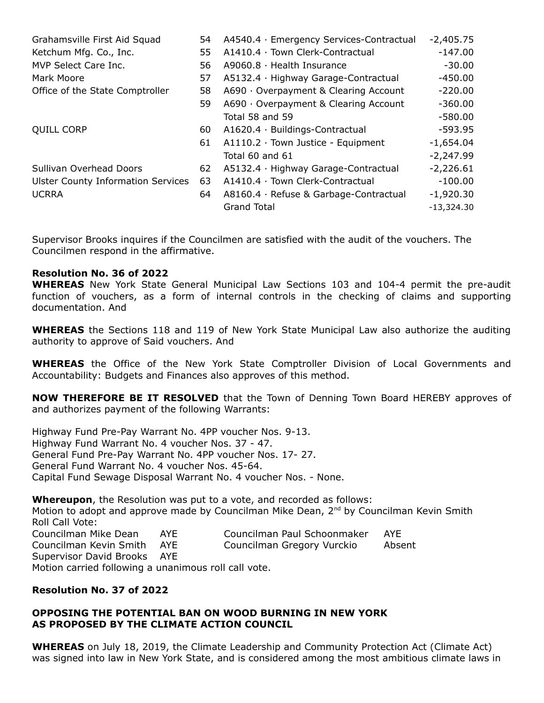| Grahamsville First Aid Squad              | 54  | A4540.4 · Emergency Services-Contractual | $-2,405.75$  |
|-------------------------------------------|-----|------------------------------------------|--------------|
| Ketchum Mfg. Co., Inc.                    | 55  | A1410.4 · Town Clerk-Contractual         | $-147.00$    |
| MVP Select Care Inc.                      | 56  | $A9060.8 \cdot$ Health Insurance         | $-30.00$     |
| Mark Moore                                | 57  | A5132.4 · Highway Garage-Contractual     | $-450.00$    |
| Office of the State Comptroller           | 58  | A690 · Overpayment & Clearing Account    | $-220.00$    |
|                                           | 59  | A690 · Overpayment & Clearing Account    | $-360.00$    |
|                                           |     | Total 58 and 59                          | $-580.00$    |
| <b>QUILL CORP</b>                         | 60. | A1620.4 · Buildings-Contractual          | $-593.95$    |
|                                           | 61  | $A1110.2 \cdot$ Town Justice - Equipment | $-1,654.04$  |
|                                           |     | Total 60 and 61                          | $-2,247.99$  |
| Sullivan Overhead Doors                   | 62  | A5132.4 · Highway Garage-Contractual     | $-2,226.61$  |
| <b>Ulster County Information Services</b> | 63  | A1410.4 · Town Clerk-Contractual         | $-100.00$    |
| <b>UCRRA</b>                              | 64  | A8160.4 · Refuse & Garbage-Contractual   | $-1,920.30$  |
|                                           |     | <b>Grand Total</b>                       | $-13,324.30$ |

Supervisor Brooks inquires if the Councilmen are satisfied with the audit of the vouchers. The Councilmen respond in the affirmative.

#### **Resolution No. 36 of 2022**

**WHEREAS** New York State General Municipal Law Sections 103 and 104-4 permit the pre-audit function of vouchers, as a form of internal controls in the checking of claims and supporting documentation. And

**WHEREAS** the Sections 118 and 119 of New York State Municipal Law also authorize the auditing authority to approve of Said vouchers. And

**WHEREAS** the Office of the New York State Comptroller Division of Local Governments and Accountability: Budgets and Finances also approves of this method.

**NOW THEREFORE BE IT RESOLVED** that the Town of Denning Town Board HEREBY approves of and authorizes payment of the following Warrants:

Highway Fund Pre-Pay Warrant No. 4PP voucher Nos. 9-13. Highway Fund Warrant No. 4 voucher Nos. 37 - 47. General Fund Pre-Pay Warrant No. 4PP voucher Nos. 17- 27. General Fund Warrant No. 4 voucher Nos. 45-64. Capital Fund Sewage Disposal Warrant No. 4 voucher Nos. - None.

**Whereupon**, the Resolution was put to a vote, and recorded as follows: Motion to adopt and approve made by Councilman Mike Dean,  $2^{nd}$  by Councilman Kevin Smith Roll Call Vote: Councilman Mike Dean AYE Councilman Paul Schoonmaker AYE Councilman Kevin Smith AYE Councilman Gregory Vurckio Absent Supervisor David Brooks AYE Motion carried following a unanimous roll call vote.

# **Resolution No. 37 of 2022**

### **OPPOSING THE POTENTIAL BAN ON WOOD BURNING IN NEW YORK AS PROPOSED BY THE CLIMATE ACTION COUNCIL**

**WHEREAS** on July 18, 2019, the Climate Leadership and Community Protection Act (Climate Act) was signed into law in New York State, and is considered among the most ambitious climate laws in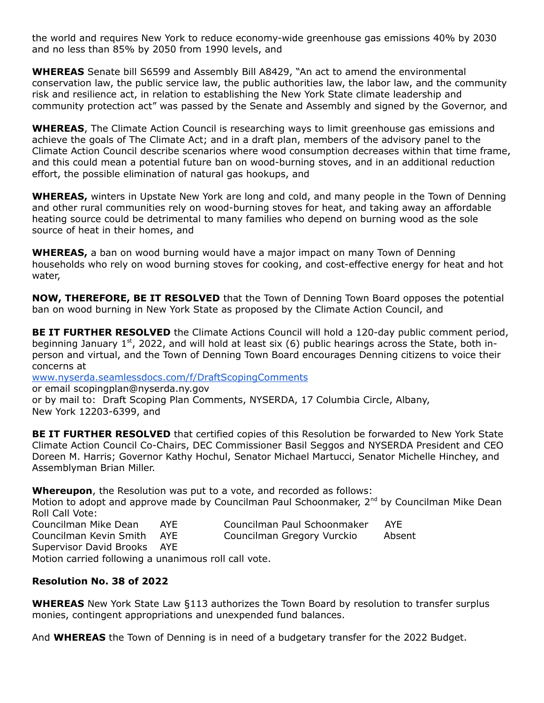the world and requires New York to reduce economy-wide greenhouse gas emissions 40% by 2030 and no less than 85% by 2050 from 1990 levels, and

**WHEREAS** Senate bill S6599 and Assembly Bill A8429, "An act to amend the environmental conservation law, the public service law, the public authorities law, the labor law, and the community risk and resilience act, in relation to establishing the New York State climate leadership and community protection act" was passed by the Senate and Assembly and signed by the Governor, and

**WHEREAS**, The Climate Action Council is researching ways to limit greenhouse gas emissions and achieve the goals of The Climate Act; and in a draft plan, members of the advisory panel to the Climate Action Council describe scenarios where wood consumption decreases within that time frame, and this could mean a potential future ban on wood-burning stoves, and in an additional reduction effort, the possible elimination of natural gas hookups, and

**WHEREAS,** winters in Upstate New York are long and cold, and many people in the Town of Denning and other rural communities rely on wood-burning stoves for heat, and taking away an affordable heating source could be detrimental to many families who depend on burning wood as the sole source of heat in their homes, and

**WHEREAS,** a ban on wood burning would have a major impact on many Town of Denning households who rely on wood burning stoves for cooking, and cost-effective energy for heat and hot water,

**NOW, THEREFORE, BE IT RESOLVED** that the Town of Denning Town Board opposes the potential ban on wood burning in New York State as proposed by the Climate Action Council, and

**BE IT FURTHER RESOLVED** the Climate Actions Council will hold a 120-day public comment period, beginning January 1<sup>st</sup>, 2022, and will hold at least six (6) public hearings across the State, both inperson and virtual, and the Town of Denning Town Board encourages Denning citizens to voice their concerns at

[www.nyserda.seamlessdocs.com/f/DraftScopingComments](http://www.nyserda.seamlessdocs.com/f/DraftScopingComments)

or email scopingplan@nyserda.ny.gov

or by mail to: Draft Scoping Plan Comments, NYSERDA, 17 Columbia Circle, Albany, New York 12203-6399, and

**BE IT FURTHER RESOLVED** that certified copies of this Resolution be forwarded to New York State Climate Action Council Co-Chairs, DEC Commissioner Basil Seggos and NYSERDA President and CEO Doreen M. Harris; Governor Kathy Hochul, Senator Michael Martucci, Senator Michelle Hinchey, and Assemblyman Brian Miller.

**Whereupon**, the Resolution was put to a vote, and recorded as follows:

Motion to adopt and approve made by Councilman Paul Schoonmaker, 2<sup>nd</sup> by Councilman Mike Dean Roll Call Vote:

Councilman Mike Dean AYE Councilman Paul Schoonmaker AYE Councilman Kevin Smith AYE Councilman Gregory Vurckio Absent Supervisor David Brooks AYE Motion carried following a unanimous roll call vote.

## **Resolution No. 38 of 2022**

**WHEREAS** New York State Law §113 authorizes the Town Board by resolution to transfer surplus monies, contingent appropriations and unexpended fund balances.

And **WHEREAS** the Town of Denning is in need of a budgetary transfer for the 2022 Budget.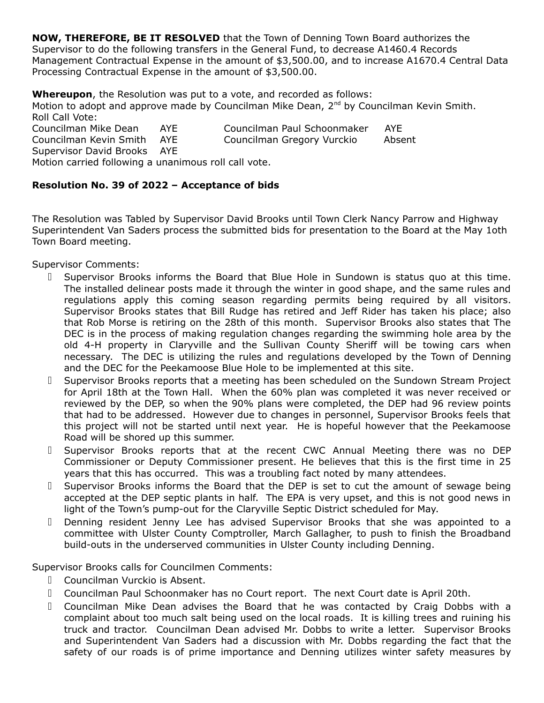**NOW, THEREFORE, BE IT RESOLVED** that the Town of Denning Town Board authorizes the Supervisor to do the following transfers in the General Fund, to decrease A1460.4 Records Management Contractual Expense in the amount of \$3,500.00, and to increase A1670.4 Central Data Processing Contractual Expense in the amount of \$3,500.00.

**Whereupon**, the Resolution was put to a vote, and recorded as follows: Motion to adopt and approve made by Councilman Mike Dean, 2<sup>nd</sup> by Councilman Kevin Smith. Roll Call Vote:

Councilman Mike Dean AYE Councilman Paul Schoonmaker AYE Councilman Kevin Smith AYE Councilman Gregory Vurckio Absent Supervisor David Brooks AYE Motion carried following a unanimous roll call vote.

# **Resolution No. 39 of 2022 – Acceptance of bids**

The Resolution was Tabled by Supervisor David Brooks until Town Clerk Nancy Parrow and Highway Superintendent Van Saders process the submitted bids for presentation to the Board at the May 1oth Town Board meeting.

Supervisor Comments:

- ⮚ Supervisor Brooks informs the Board that Blue Hole in Sundown is status quo at this time. The installed delinear posts made it through the winter in good shape, and the same rules and regulations apply this coming season regarding permits being required by all visitors. Supervisor Brooks states that Bill Rudge has retired and Jeff Rider has taken his place; also that Rob Morse is retiring on the 28th of this month. Supervisor Brooks also states that The DEC is in the process of making regulation changes regarding the swimming hole area by the old 4-H property in Claryville and the Sullivan County Sheriff will be towing cars when necessary. The DEC is utilizing the rules and regulations developed by the Town of Denning and the DEC for the Peekamoose Blue Hole to be implemented at this site.
- ⮚ Supervisor Brooks reports that a meeting has been scheduled on the Sundown Stream Project for April 18th at the Town Hall. When the 60% plan was completed it was never received or reviewed by the DEP, so when the 90% plans were completed, the DEP had 96 review points that had to be addressed. However due to changes in personnel, Supervisor Brooks feels that this project will not be started until next year. He is hopeful however that the Peekamoose Road will be shored up this summer.
- ⮚ Supervisor Brooks reports that at the recent CWC Annual Meeting there was no DEP Commissioner or Deputy Commissioner present. He believes that this is the first time in 25 years that this has occurred. This was a troubling fact noted by many attendees.
- ⮚ Supervisor Brooks informs the Board that the DEP is set to cut the amount of sewage being accepted at the DEP septic plants in half. The EPA is very upset, and this is not good news in light of the Town's pump-out for the Claryville Septic District scheduled for May.
- ⮚ Denning resident Jenny Lee has advised Supervisor Brooks that she was appointed to a committee with Ulster County Comptroller, March Gallagher, to push to finish the Broadband build-outs in the underserved communities in Ulster County including Denning.

Supervisor Brooks calls for Councilmen Comments:

- ⮚ Councilman Vurckio is Absent.
- ⮚ Councilman Paul Schoonmaker has no Court report. The next Court date is April 20th.
- ⮚ Councilman Mike Dean advises the Board that he was contacted by Craig Dobbs with a complaint about too much salt being used on the local roads. It is killing trees and ruining his truck and tractor. Councilman Dean advised Mr. Dobbs to write a letter. Supervisor Brooks and Superintendent Van Saders had a discussion with Mr. Dobbs regarding the fact that the safety of our roads is of prime importance and Denning utilizes winter safety measures by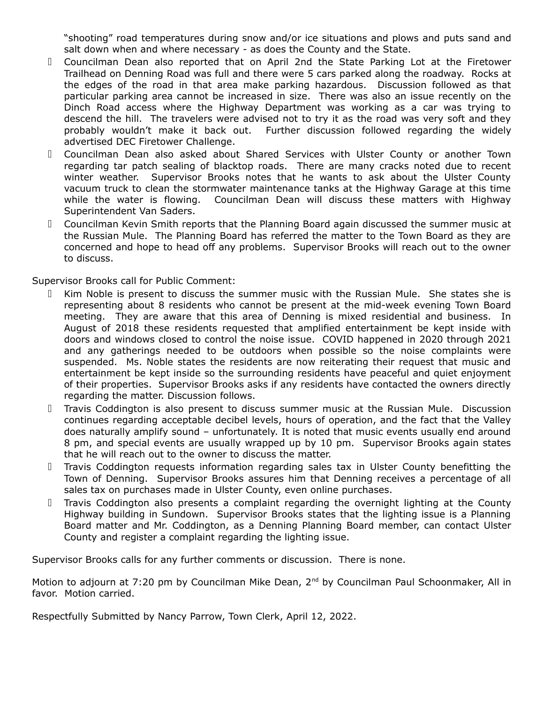"shooting" road temperatures during snow and/or ice situations and plows and puts sand and salt down when and where necessary - as does the County and the State.

- ⮚ Councilman Dean also reported that on April 2nd the State Parking Lot at the Firetower Trailhead on Denning Road was full and there were 5 cars parked along the roadway. Rocks at the edges of the road in that area make parking hazardous. Discussion followed as that particular parking area cannot be increased in size. There was also an issue recently on the Dinch Road access where the Highway Department was working as a car was trying to descend the hill. The travelers were advised not to try it as the road was very soft and they probably wouldn't make it back out. Further discussion followed regarding the widely advertised DEC Firetower Challenge.
- ⮚ Councilman Dean also asked about Shared Services with Ulster County or another Town regarding tar patch sealing of blacktop roads. There are many cracks noted due to recent winter weather. Supervisor Brooks notes that he wants to ask about the Ulster County vacuum truck to clean the stormwater maintenance tanks at the Highway Garage at this time while the water is flowing. Councilman Dean will discuss these matters with Highway Superintendent Van Saders.
- ⮚ Councilman Kevin Smith reports that the Planning Board again discussed the summer music at the Russian Mule. The Planning Board has referred the matter to the Town Board as they are concerned and hope to head off any problems. Supervisor Brooks will reach out to the owner to discuss.

Supervisor Brooks call for Public Comment:

- Kim Noble is present to discuss the summer music with the Russian Mule. She states she is representing about 8 residents who cannot be present at the mid-week evening Town Board meeting. They are aware that this area of Denning is mixed residential and business. In August of 2018 these residents requested that amplified entertainment be kept inside with doors and windows closed to control the noise issue. COVID happened in 2020 through 2021 and any gatherings needed to be outdoors when possible so the noise complaints were suspended. Ms. Noble states the residents are now reiterating their request that music and entertainment be kept inside so the surrounding residents have peaceful and quiet enjoyment of their properties. Supervisor Brooks asks if any residents have contacted the owners directly regarding the matter. Discussion follows.
- ⮚ Travis Coddington is also present to discuss summer music at the Russian Mule. Discussion continues regarding acceptable decibel levels, hours of operation, and the fact that the Valley does naturally amplify sound – unfortunately. It is noted that music events usually end around 8 pm, and special events are usually wrapped up by 10 pm. Supervisor Brooks again states that he will reach out to the owner to discuss the matter.
- ⮚ Travis Coddington requests information regarding sales tax in Ulster County benefitting the Town of Denning. Supervisor Brooks assures him that Denning receives a percentage of all sales tax on purchases made in Ulster County, even online purchases.
- ⮚ Travis Coddington also presents a complaint regarding the overnight lighting at the County Highway building in Sundown. Supervisor Brooks states that the lighting issue is a Planning Board matter and Mr. Coddington, as a Denning Planning Board member, can contact Ulster County and register a complaint regarding the lighting issue.

Supervisor Brooks calls for any further comments or discussion. There is none.

Motion to adjourn at 7:20 pm by Councilman Mike Dean, 2<sup>nd</sup> by Councilman Paul Schoonmaker, All in favor. Motion carried.

Respectfully Submitted by Nancy Parrow, Town Clerk, April 12, 2022.